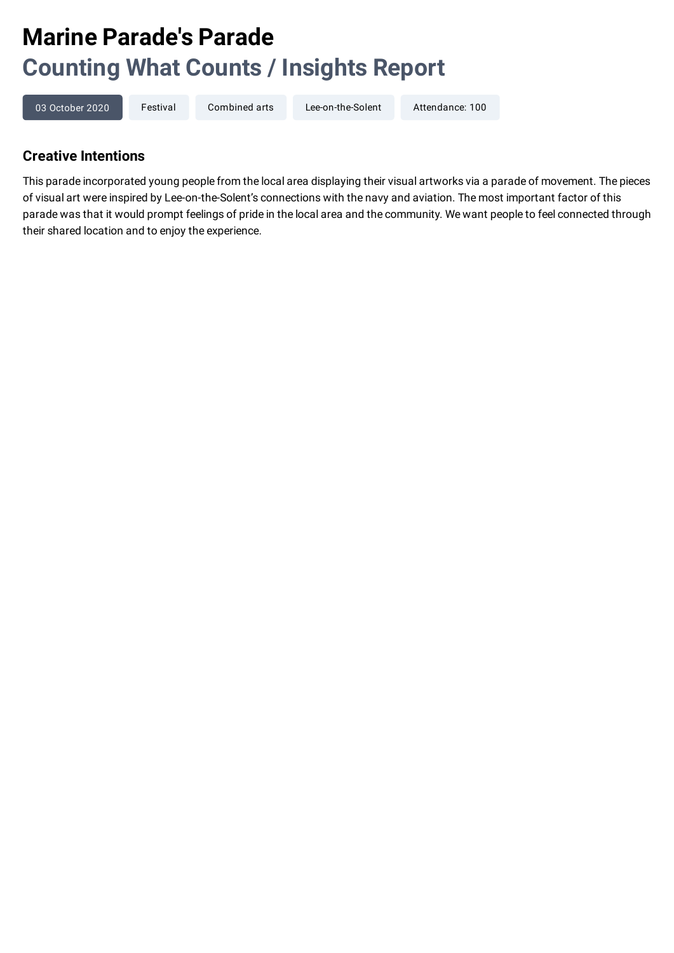# **Marine Parade's Parade Counting What Counts / Insights Report**

```
03 October 2020 Festival Combined arts Lee-on-the-Solent Attendance: 100
```
## **Creative Intentions**

This parade incorporated young people from the local area displaying their visual artworks via a parade of movement. The pieces of visual art were inspired by Lee-on-the-Solent's connections with the navy and aviation. The most important factor of this parade was that it would prompt feelings of pride in the local area and the community. We want people to feel connected through their shared location and to enjoy the experience.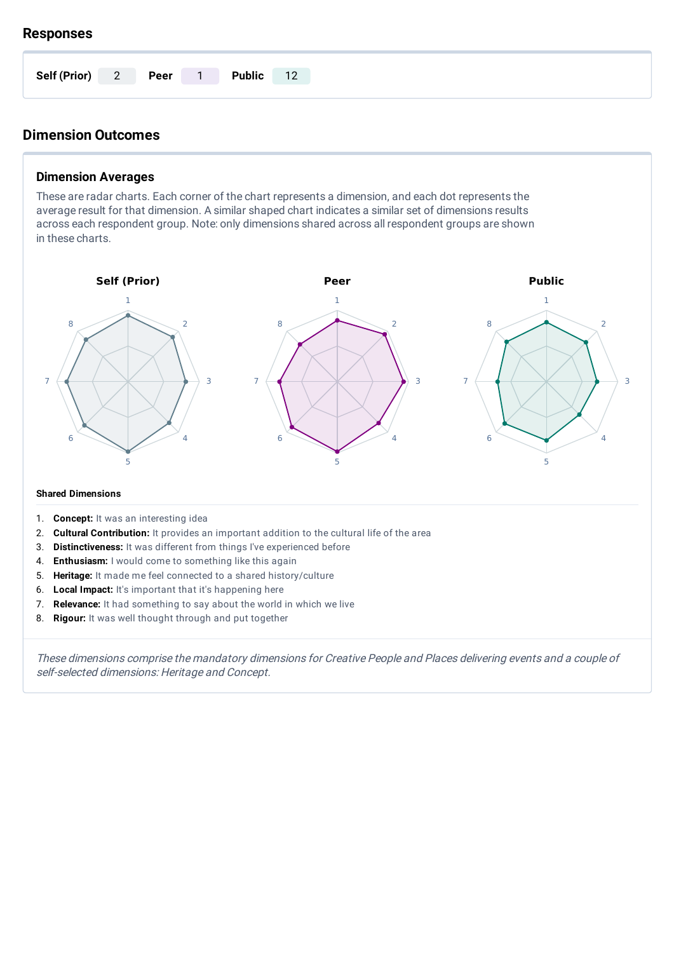#### **Responses**

| Self (Prior) 2 Peer 1 |  | <b>Public</b> | 12 |
|-----------------------|--|---------------|----|

# **Dimension Outcomes**

## **Dimension Averages**

These are radar charts. Each corner of the chart represents a dimension, and each dot represents the average result for that dimension. A similar shaped chart indicates a similar set of dimensions results across each respondent group. Note: only dimensions shared across all respondent groups are shown in these charts.



#### **Shared Dimensions**

- 1. **Concept:** It was an interesting idea
- 2. **Cultural Contribution:** It provides an important addition to the cultural life of the area
- 3. **Distinctiveness:** It was different from things I've experienced before
- 4. **Enthusiasm:** I would come to something like this again
- 5. **Heritage:** It made me feel connected to a shared history/culture
- 6. **Local Impact:** It's important that it's happening here
- 7. **Relevance:** It had something to say about the world in which we live
- 8. **Rigour:** It was well thought through and put together

These dimensions comprise the mandatory dimensions for Creative People and Places delivering events and <sup>a</sup> couple of self-selected dimensions: Heritage and Concept.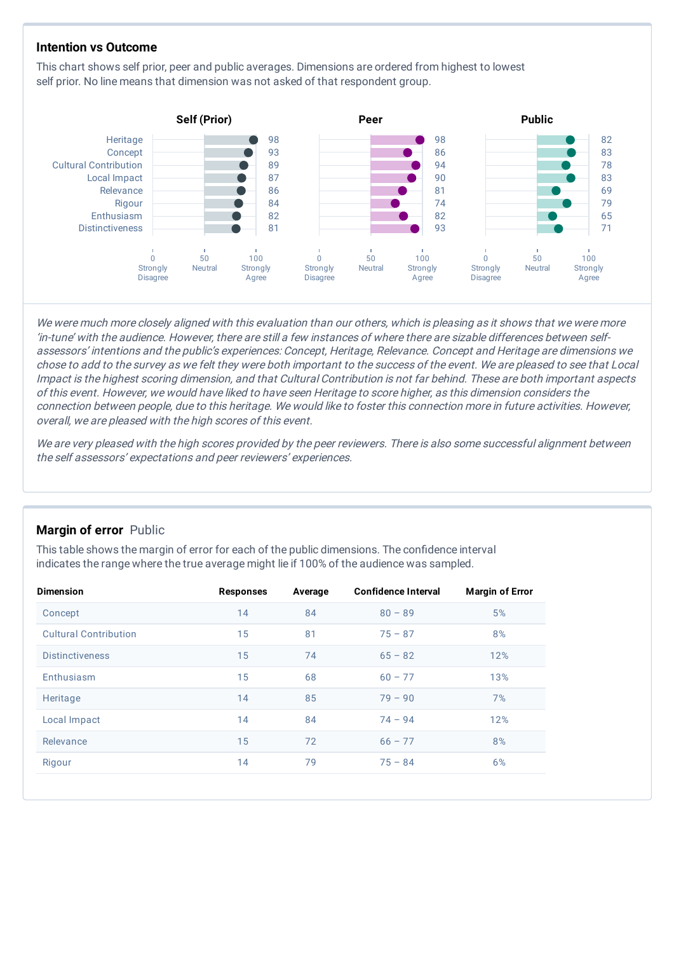#### **Intention vs Outcome**

This chart shows self prior, peer and public averages. Dimensions are ordered from highest to lowest self prior. No line means that dimension was not asked of that respondent group.



We were much more closely aligned with this evaluation than our others, which is pleasing as it shows that we were more 'in-tune' with the audience. However, there are still <sup>a</sup> few instances of where there are sizable differences between selfassessors' intentions and the public's experiences: Concept, Heritage, Relevance. Concept and Heritage are dimensions we chose to add to the survey as we felt they were both important to the success of the event. We are pleased to see that Local Impact is the highest scoring dimension, and that Cultural Contribution is not far behind. These are both important aspects of this event. However, we would have liked to have seen Heritage to score higher, as this dimension considers the connection between people, due to this heritage. We would like to foster this connection more in future activities. However, overall, we are pleased with the high scores of this event.

We are very pleased with the high scores provided by the peer reviewers. There is also some successful alignment between the self assessors' expectations and peer reviewers' experiences.

#### **Margin of error** Public

This table shows the margin of error for each of the public dimensions. The confidence interval indicates the range where the true average might lie if 100% of the audience was sampled.

| <b>Dimension</b>             | <b>Responses</b> | Average | <b>Confidence Interval</b> | <b>Margin of Error</b> |
|------------------------------|------------------|---------|----------------------------|------------------------|
| Concept                      | 14               | 84      | $80 - 89$                  | 5%                     |
| <b>Cultural Contribution</b> | 15               | 81      | $75 - 87$                  | 8%                     |
| <b>Distinctiveness</b>       | 15               | 74      | $65 - 82$                  | 12%                    |
| Enthusiasm                   | 15               | 68      | $60 - 77$                  | 13%                    |
| Heritage                     | 14               | 85      | $79 - 90$                  | 7%                     |
| Local Impact                 | 14               | 84      | $74 - 94$                  | 12%                    |
| Relevance                    | 15               | 72      | $66 - 77$                  | 8%                     |
| Rigour                       | 14               | 79      | $75 - 84$                  | 6%                     |
|                              |                  |         |                            |                        |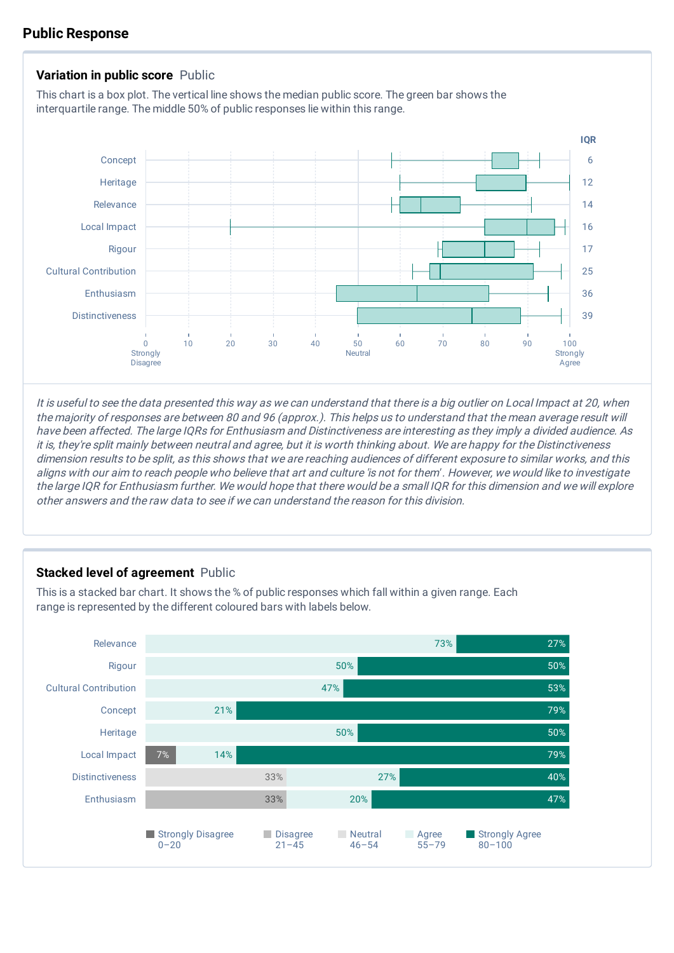## **Public Response**



It is useful to see the data presented this way as we can understand that there is <sup>a</sup> big outlier on Local Impact at 20, when the majority of responses are between 80 and 96 (approx.). This helps us to understand that the mean average result will have been affected. The large IQRs for Enthusiasm and Distinctiveness are interesting as they imply <sup>a</sup> divided audience. As it is, they're split mainly between neutral and agree, but it is worth thinking about. We are happy for the Distinctiveness dimension results to be split, as this shows that we are reaching audiences of different exposure to similar works, and this aligns with our aim to reach people who believe that art and culture 'is not for them' . However, we would like to investigate the large IQR for Enthusiasm further. We would hope that there would be <sup>a</sup> small IQR for this dimension and we will explore other answers and the raw data to see if we can understand the reason for this division.

### **Stacked level of agreement** Public

This is a stacked bar chart. It shows the % of public responses which fall within a given range. Each range is represented by the different coloured bars with labels below.

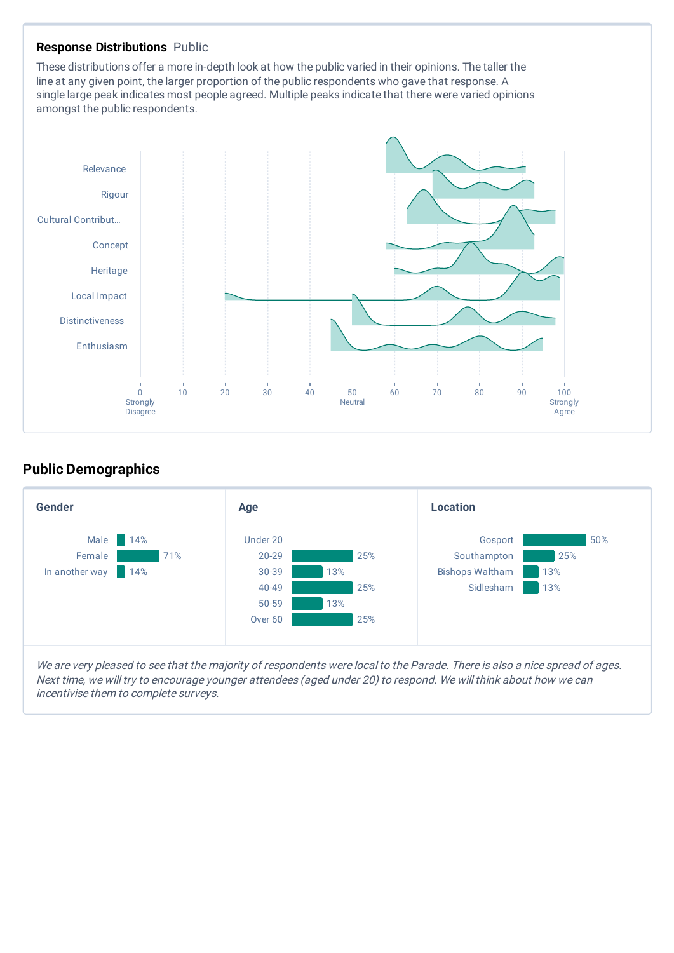#### **Response Distributions** Public

These distributions offer a more in-depth look at how the public varied in their opinions. The taller the line at any given point, the larger proportion of the public respondents who gave that response. A single large peak indicates most people agreed. Multiple peaks indicate that there were varied opinions amongst the public respondents.



# **Public Demographics**



We are very pleased to see that the majority of respondents were local to the Parade. There is also a nice spread of ages. Next time, we will try to encourage younger attendees (aged under 20) to respond. We will think about how we can incentivise them to complete surveys.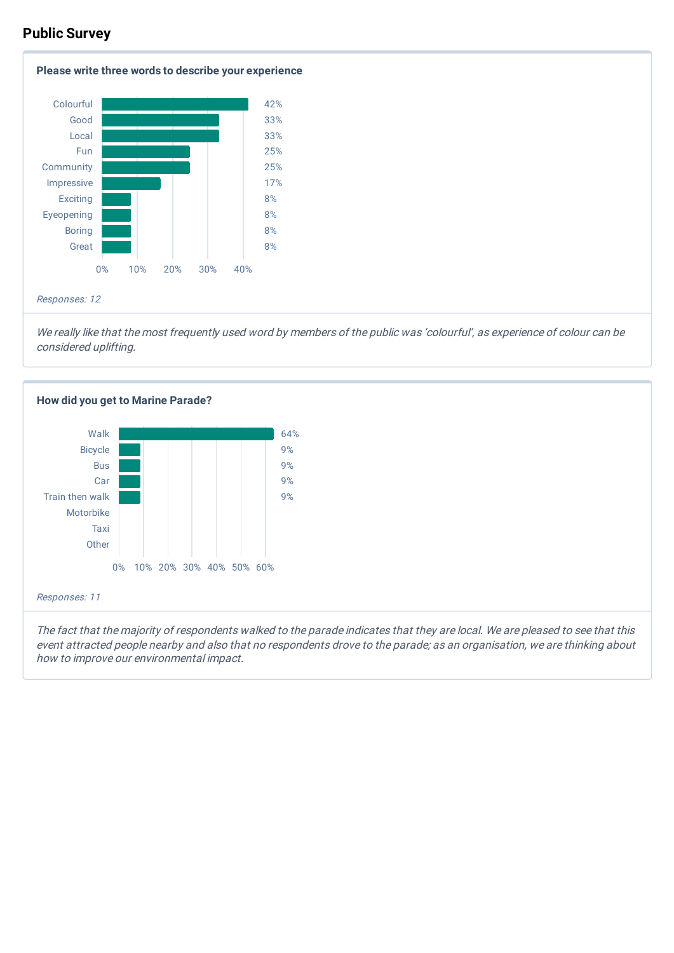# **Public Survey**



We really like that the most frequently used word by members of the public was 'colourful', as experience of colour can be considered uplifting.



The fact that the majority of respondents walked to the parade indicates that they are local. We are pleased to see that this event attracted people nearby and also that no respondents drove to the parade; as an organisation, we are thinking about how to improve our environmental impact.